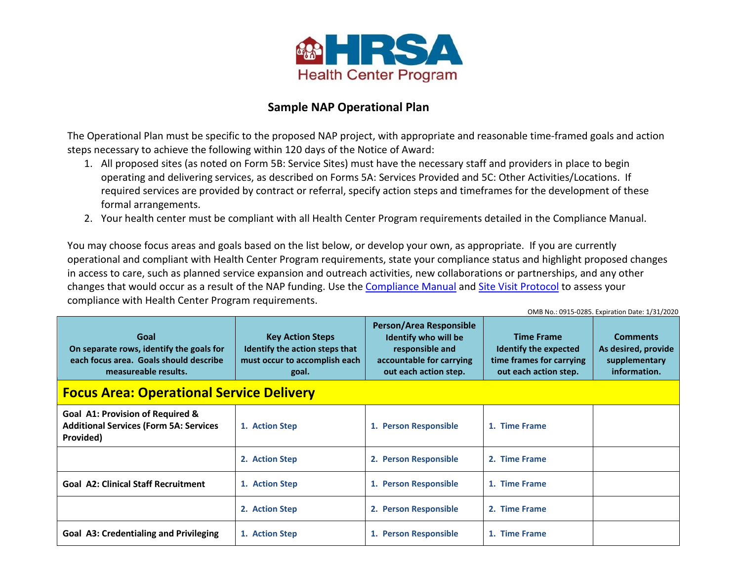

## **Sample NAP Operational Plan**

The Operational Plan must be specific to the proposed NAP project, with appropriate and reasonable time-framed goals and action steps necessary to achieve the following within 120 days of the Notice of Award:

- 1. All proposed sites (as noted on Form 5B: Service Sites) must have the necessary staff and providers in place to begin operating and delivering services, as described on Forms 5A: Services Provided and 5C: Other Activities/Locations. If required services are provided by contract or referral, specify action steps and timeframes for the development of these formal arrangements.
- 2. Your health center must be compliant with all Health Center Program requirements detailed in the Compliance Manual.

You may choose focus areas and goals based on the list below, or develop your own, as appropriate. If you are currently operational and compliant with Health Center Program requirements, state your compliance status and highlight proposed changes in access to care, such as planned service expansion and outreach activities, new collaborations or partnerships, and any other changes that would occur as a result of the NAP funding. Use th[e Compliance Manual](https://bphc.hrsa.gov/programrequirements/compliancemanual/introduction.html) and [Site Visit Protocol](https://bphc.hrsa.gov/programrequirements/svprotocol.html) to assess your compliance with Health Center Program requirements.

| OMB No.: 0915-0285. Expiration Date: 1/31/2020                                                                     |                                                                                                     |                                                                                                                                |                                                                                                 |                                                                         |
|--------------------------------------------------------------------------------------------------------------------|-----------------------------------------------------------------------------------------------------|--------------------------------------------------------------------------------------------------------------------------------|-------------------------------------------------------------------------------------------------|-------------------------------------------------------------------------|
| Goal<br>On separate rows, identify the goals for<br>each focus area. Goals should describe<br>measureable results. | <b>Key Action Steps</b><br>Identify the action steps that<br>must occur to accomplish each<br>goal. | Person/Area Responsible<br><b>Identify who will be</b><br>responsible and<br>accountable for carrying<br>out each action step. | <b>Time Frame</b><br>Identify the expected<br>time frames for carrying<br>out each action step. | <b>Comments</b><br>As desired, provide<br>supplementary<br>information. |
| <b>Focus Area: Operational Service Delivery</b>                                                                    |                                                                                                     |                                                                                                                                |                                                                                                 |                                                                         |
| Goal A1: Provision of Required &<br><b>Additional Services (Form 5A: Services</b><br>Provided)                     | 1. Action Step                                                                                      | 1. Person Responsible                                                                                                          | 1. Time Frame                                                                                   |                                                                         |
|                                                                                                                    | 2. Action Step                                                                                      | 2. Person Responsible                                                                                                          | 2. Time Frame                                                                                   |                                                                         |
| <b>Goal A2: Clinical Staff Recruitment</b>                                                                         | 1. Action Step                                                                                      | 1. Person Responsible                                                                                                          | 1. Time Frame                                                                                   |                                                                         |
|                                                                                                                    | 2. Action Step                                                                                      | 2. Person Responsible                                                                                                          | 2. Time Frame                                                                                   |                                                                         |
| <b>Goal A3: Credentialing and Privileging</b>                                                                      | 1. Action Step                                                                                      | 1. Person Responsible                                                                                                          | 1. Time Frame                                                                                   |                                                                         |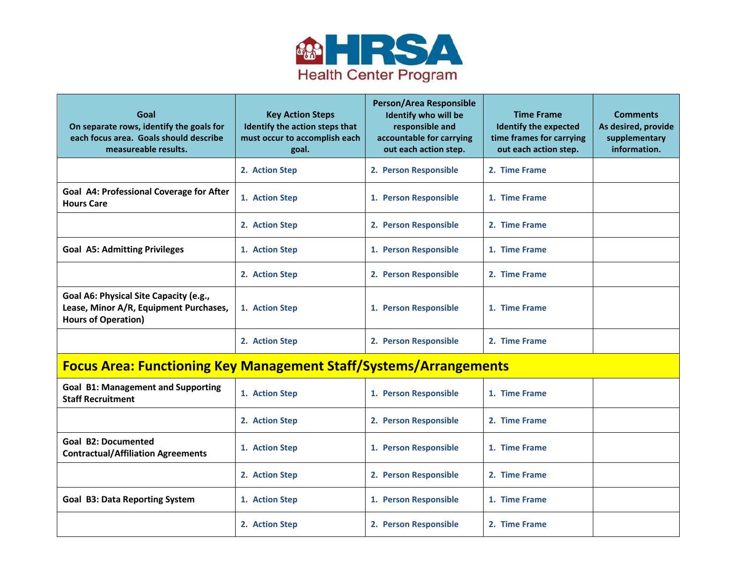

| Goal<br>On separate rows, identify the goals for<br>each focus area. Goals should describe<br>measureable results. | <b>Key Action Steps</b><br>Identify the action steps that<br>must occur to accomplish each<br>goal. | Person/Area Responsible<br>Identify who will be<br>responsible and<br>accountable for carrying<br>out each action step. | <b>Time Frame</b><br><b>Identify the expected</b><br>time frames for carrying<br>out each action step. | <b>Comments</b><br>As desired, provide<br>supplementary<br>information. |
|--------------------------------------------------------------------------------------------------------------------|-----------------------------------------------------------------------------------------------------|-------------------------------------------------------------------------------------------------------------------------|--------------------------------------------------------------------------------------------------------|-------------------------------------------------------------------------|
|                                                                                                                    | 2. Action Step                                                                                      | 2. Person Responsible                                                                                                   | 2. Time Frame                                                                                          |                                                                         |
| Goal A4: Professional Coverage for After<br><b>Hours Care</b>                                                      | 1. Action Step                                                                                      | 1. Person Responsible                                                                                                   | 1. Time Frame                                                                                          |                                                                         |
|                                                                                                                    | 2. Action Step                                                                                      | 2. Person Responsible                                                                                                   | 2. Time Frame                                                                                          |                                                                         |
| <b>Goal A5: Admitting Privileges</b>                                                                               | 1. Action Step                                                                                      | 1. Person Responsible                                                                                                   | 1. Time Frame                                                                                          |                                                                         |
|                                                                                                                    | 2. Action Step                                                                                      | 2. Person Responsible                                                                                                   | 2. Time Frame                                                                                          |                                                                         |
| Goal A6: Physical Site Capacity (e.g.,<br>Lease, Minor A/R, Equipment Purchases,<br><b>Hours of Operation)</b>     | 1. Action Step                                                                                      | 1. Person Responsible                                                                                                   | 1. Time Frame                                                                                          |                                                                         |
|                                                                                                                    | 2. Action Step                                                                                      | 2. Person Responsible                                                                                                   | 2. Time Frame                                                                                          |                                                                         |

## **Focus Area: Functioning Key Management Staff/Systems/Arrangements**

| <b>Goal B1: Management and Supporting</b><br><b>Staff Recruitment</b> | 1. Action Step | 1. Person Responsible | 1. Time Frame |
|-----------------------------------------------------------------------|----------------|-----------------------|---------------|
|                                                                       | 2. Action Step | 2. Person Responsible | 2. Time Frame |
| Goal B2: Documented<br><b>Contractual/Affiliation Agreements</b>      | 1. Action Step | 1. Person Responsible | 1. Time Frame |
|                                                                       | 2. Action Step | 2. Person Responsible | 2. Time Frame |
| <b>Goal B3: Data Reporting System</b>                                 | 1. Action Step | 1. Person Responsible | 1. Time Frame |
|                                                                       | 2. Action Step | 2. Person Responsible | 2. Time Frame |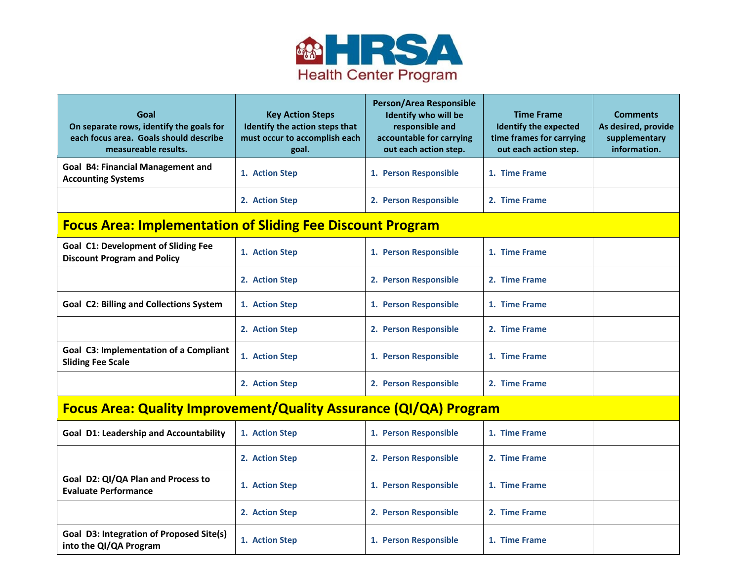

| Goal<br>On separate rows, identify the goals for<br>each focus area. Goals should describe<br>measureable results. | <b>Key Action Steps</b><br>Identify the action steps that<br>must occur to accomplish each<br>goal. | Person/Area Responsible<br><b>Identify who will be</b><br>responsible and<br>accountable for carrying<br>out each action step. | <b>Time Frame</b><br><b>Identify the expected</b><br>time frames for carrying<br>out each action step. | <b>Comments</b><br>As desired, provide<br>supplementary<br>information. |  |
|--------------------------------------------------------------------------------------------------------------------|-----------------------------------------------------------------------------------------------------|--------------------------------------------------------------------------------------------------------------------------------|--------------------------------------------------------------------------------------------------------|-------------------------------------------------------------------------|--|
| <b>Goal B4: Financial Management and</b><br><b>Accounting Systems</b>                                              | 1. Action Step                                                                                      | 1. Person Responsible                                                                                                          | 1. Time Frame                                                                                          |                                                                         |  |
|                                                                                                                    | 2. Action Step                                                                                      | 2. Person Responsible                                                                                                          | 2. Time Frame                                                                                          |                                                                         |  |
| <b>Focus Area: Implementation of Sliding Fee Discount Program</b>                                                  |                                                                                                     |                                                                                                                                |                                                                                                        |                                                                         |  |
| <b>Goal C1: Development of Sliding Fee</b><br><b>Discount Program and Policy</b>                                   | 1. Action Step                                                                                      | 1. Person Responsible                                                                                                          | 1. Time Frame                                                                                          |                                                                         |  |
|                                                                                                                    | 2. Action Step                                                                                      | 2. Person Responsible                                                                                                          | 2. Time Frame                                                                                          |                                                                         |  |
| <b>Goal C2: Billing and Collections System</b>                                                                     | 1. Action Step                                                                                      | 1. Person Responsible                                                                                                          | 1. Time Frame                                                                                          |                                                                         |  |
|                                                                                                                    | 2. Action Step                                                                                      | 2. Person Responsible                                                                                                          | 2. Time Frame                                                                                          |                                                                         |  |
| Goal C3: Implementation of a Compliant<br><b>Sliding Fee Scale</b>                                                 | 1. Action Step                                                                                      | 1. Person Responsible                                                                                                          | 1. Time Frame                                                                                          |                                                                         |  |
|                                                                                                                    | 2. Action Step                                                                                      | 2. Person Responsible                                                                                                          | 2. Time Frame                                                                                          |                                                                         |  |
| <b>Focus Area: Quality Improvement/Quality Assurance (QI/QA) Program</b>                                           |                                                                                                     |                                                                                                                                |                                                                                                        |                                                                         |  |
| <b>Goal D1: Leadership and Accountability</b>                                                                      | 1. Action Step                                                                                      | 1. Person Responsible                                                                                                          | 1. Time Frame                                                                                          |                                                                         |  |
|                                                                                                                    | 2. Action Step                                                                                      | 2. Person Responsible                                                                                                          | 2. Time Frame                                                                                          |                                                                         |  |
| Goal D2: QI/QA Plan and Process to<br><b>Evaluate Performance</b>                                                  | 1. Action Step                                                                                      | 1. Person Responsible                                                                                                          | 1. Time Frame                                                                                          |                                                                         |  |
|                                                                                                                    | 2. Action Step                                                                                      | 2. Person Responsible                                                                                                          | 2. Time Frame                                                                                          |                                                                         |  |
| Goal D3: Integration of Proposed Site(s)<br>into the QI/QA Program                                                 | 1. Action Step                                                                                      | 1. Person Responsible                                                                                                          | 1. Time Frame                                                                                          |                                                                         |  |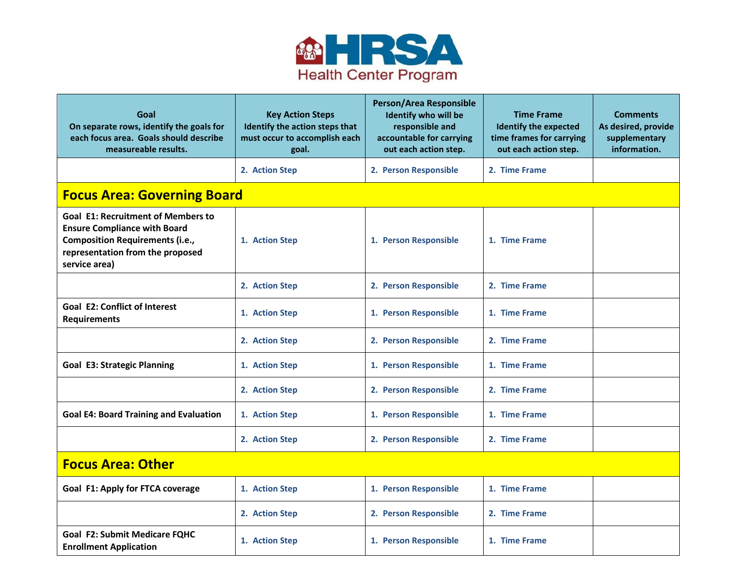

| Goal<br>On separate rows, identify the goals for<br>each focus area. Goals should describe<br>measureable results.                                                              | <b>Key Action Steps</b><br>Identify the action steps that<br>must occur to accomplish each<br>goal. | Person/Area Responsible<br>Identify who will be<br>responsible and<br>accountable for carrying<br>out each action step. | <b>Time Frame</b><br><b>Identify the expected</b><br>time frames for carrying<br>out each action step. | <b>Comments</b><br>As desired, provide<br>supplementary<br>information. |  |
|---------------------------------------------------------------------------------------------------------------------------------------------------------------------------------|-----------------------------------------------------------------------------------------------------|-------------------------------------------------------------------------------------------------------------------------|--------------------------------------------------------------------------------------------------------|-------------------------------------------------------------------------|--|
|                                                                                                                                                                                 | 2. Action Step                                                                                      | 2. Person Responsible                                                                                                   | 2. Time Frame                                                                                          |                                                                         |  |
| <b>Focus Area: Governing Board</b>                                                                                                                                              |                                                                                                     |                                                                                                                         |                                                                                                        |                                                                         |  |
| <b>Goal E1: Recruitment of Members to</b><br><b>Ensure Compliance with Board</b><br><b>Composition Requirements (i.e.,</b><br>representation from the proposed<br>service area) | 1. Action Step                                                                                      | 1. Person Responsible                                                                                                   | 1. Time Frame                                                                                          |                                                                         |  |
|                                                                                                                                                                                 | 2. Action Step                                                                                      | 2. Person Responsible                                                                                                   | 2. Time Frame                                                                                          |                                                                         |  |
| <b>Goal E2: Conflict of Interest</b><br><b>Requirements</b>                                                                                                                     | 1. Action Step                                                                                      | 1. Person Responsible                                                                                                   | 1. Time Frame                                                                                          |                                                                         |  |
|                                                                                                                                                                                 | 2. Action Step                                                                                      | 2. Person Responsible                                                                                                   | 2. Time Frame                                                                                          |                                                                         |  |
| <b>Goal E3: Strategic Planning</b>                                                                                                                                              | 1. Action Step                                                                                      | 1. Person Responsible                                                                                                   | 1. Time Frame                                                                                          |                                                                         |  |
|                                                                                                                                                                                 | 2. Action Step                                                                                      | 2. Person Responsible                                                                                                   | 2. Time Frame                                                                                          |                                                                         |  |
| <b>Goal E4: Board Training and Evaluation</b>                                                                                                                                   | 1. Action Step                                                                                      | 1. Person Responsible                                                                                                   | 1. Time Frame                                                                                          |                                                                         |  |
|                                                                                                                                                                                 | 2. Action Step                                                                                      | 2. Person Responsible                                                                                                   | 2. Time Frame                                                                                          |                                                                         |  |
| <b>Focus Area: Other</b>                                                                                                                                                        |                                                                                                     |                                                                                                                         |                                                                                                        |                                                                         |  |
| Goal F1: Apply for FTCA coverage                                                                                                                                                | 1. Action Step                                                                                      | 1. Person Responsible                                                                                                   | 1. Time Frame                                                                                          |                                                                         |  |
|                                                                                                                                                                                 | 2. Action Step                                                                                      | 2. Person Responsible                                                                                                   | 2. Time Frame                                                                                          |                                                                         |  |
| <b>Goal F2: Submit Medicare FQHC</b><br><b>Enrollment Application</b>                                                                                                           | 1. Action Step                                                                                      | 1. Person Responsible                                                                                                   | 1. Time Frame                                                                                          |                                                                         |  |